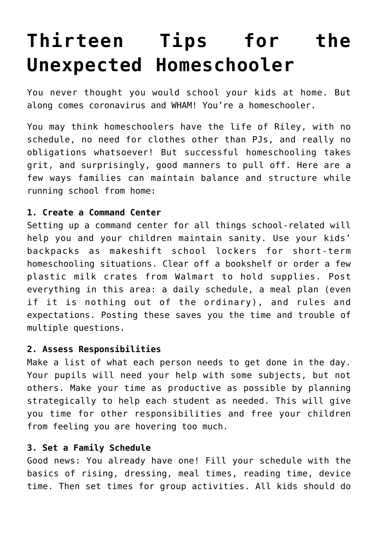# **[Thirteen Tips for the](https://intellectualtakeout.org/2020/03/thirteen-tips-for-the-unexpected-homeschooler/) [Unexpected Homeschooler](https://intellectualtakeout.org/2020/03/thirteen-tips-for-the-unexpected-homeschooler/)**

You never thought you would school your kids at home. But along comes coronavirus and WHAM! You're a homeschooler.

You may think homeschoolers have the life of Riley, with no schedule, no need for clothes other than PJs, and really no obligations whatsoever! But successful homeschooling takes grit, and surprisingly, good manners to pull off. Here are a few ways families can maintain balance and structure while running school from home:

## **1. Create a Command Center**

Setting up a command center for all things school-related will help you and your children maintain sanity. Use your kids' backpacks as makeshift school lockers for short-term homeschooling situations. Clear off a bookshelf or order a few plastic milk crates from Walmart to hold supplies. Post everything in this area: a daily schedule, a meal plan (even if it is nothing out of the ordinary), and rules and expectations. Posting these saves you the time and trouble of multiple questions.

## **2. Assess Responsibilities**

Make a list of what each person needs to get done in the day. Your pupils will need your help with some subjects, but not others. Make your time as productive as possible by planning strategically to help each student as needed. This will give you time for other responsibilities and free your children from feeling you are hovering too much.

# **3. Set a Family Schedule**

Good news: You already have one! Fill your schedule with the basics of rising, dressing, meal times, reading time, device time. Then set times for group activities. All kids should do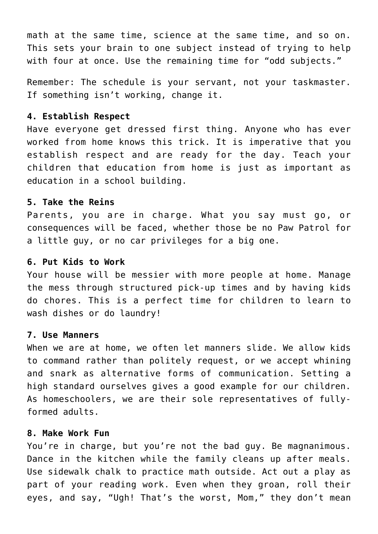math at the same time, science at the same time, and so on. This sets your brain to one subject instead of trying to help with four at once. Use the remaining time for "odd subjects."

Remember: The schedule is your servant, not your taskmaster. If something isn't working, change it.

#### **4. Establish Respect**

Have everyone get dressed first thing. Anyone who has ever worked from home knows this trick. It is imperative that you establish respect and are ready for the day. Teach your children that education from home is just as important as education in a school building.

#### **5. Take the Reins**

Parents, you are in charge. What you say must go, or consequences will be faced, whether those be no Paw Patrol for a little guy, or no car privileges for a big one.

## **6. Put Kids to Work**

Your house will be messier with more people at home. Manage the mess through structured pick-up times and by having kids do chores. This is a perfect time for children to learn to wash dishes or do laundry!

#### **7. Use Manners**

When we are at home, we often let manners slide. We allow kids to command rather than politely request, or we accept whining and snark as alternative forms of communication. Setting a high standard ourselves gives a good example for our children. As homeschoolers, we are their sole representatives of fullyformed adults.

#### **8. Make Work Fun**

You're in charge, but you're not the bad guy. Be magnanimous. Dance in the kitchen while the family cleans up after meals. Use sidewalk chalk to practice math outside. Act out a play as part of your reading work. Even when they groan, roll their eyes, and say, "Ugh! That's the worst, Mom," they don't mean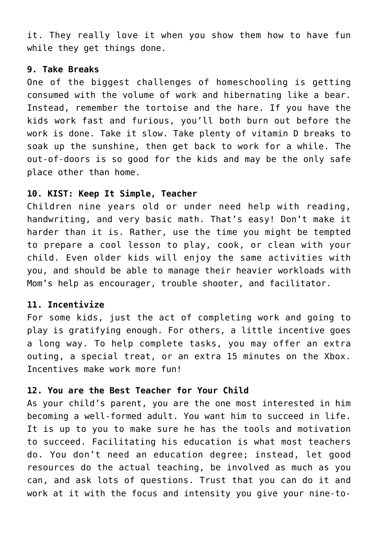it. They really love it when you show them how to have fun while they get things done.

### **9. Take Breaks**

One of the biggest challenges of homeschooling is getting consumed with the volume of work and hibernating like a bear. Instead, remember the tortoise and the hare. If you have the kids work fast and furious, you'll both burn out before the work is done. Take it slow. Take plenty of vitamin D breaks to soak up the sunshine, then get back to work for a while. The out-of-doors is so good for the kids and may be the only safe place other than home.

## **10. KIST: Keep It Simple, Teacher**

Children nine years old or under need help with reading, handwriting, and very basic math. That's easy! Don't make it harder than it is. Rather, use the time you might be tempted to prepare a cool lesson to play, cook, or clean with your child. Even older kids will enjoy the same activities with you, and should be able to manage their heavier workloads with Mom's help as encourager, trouble shooter, and facilitator.

## **11. Incentivize**

For some kids, just the act of completing work and going to play is gratifying enough. For others, a little incentive goes a long way. To help complete tasks, you may offer an extra outing, a special treat, or an extra 15 minutes on the Xbox. Incentives make work more fun!

## **12. You are the Best Teacher for Your Child**

As your child's parent, you are the one most interested in him becoming a well-formed adult. You want him to succeed in life. It is up to you to make sure he has the tools and motivation to succeed. Facilitating his education is what most teachers do. You don't need an education degree; instead, let good resources do the actual teaching, be involved as much as you can, and ask lots of questions. Trust that you can do it and work at it with the focus and intensity you give your nine-to